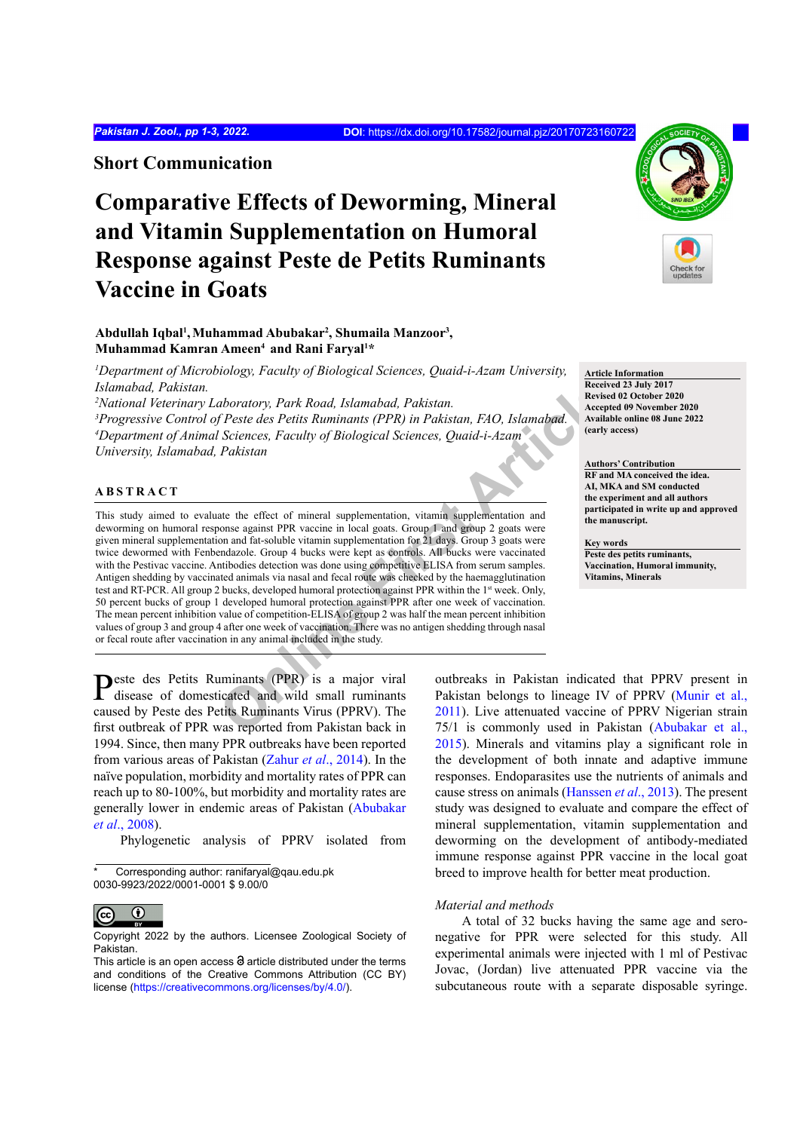**Short Communication**

# **Comparative Effects of Deworming, Mineral and Vitamin Supplementation on Humoral Response against Peste de Petits Ruminants Vaccine in Goats**

## Abdullah Iqbal<sup>ı</sup>, Muhammad Abubakar<sup>2</sup>, Shumaila Manzoor<sup>3</sup>, **Muhammad Kamran Ameen4 and Rani Faryal1 \***

*1 Department of Microbiology, Faculty of Biological Sciences, Quaid-i-Azam University, Islamabad, Pakistan.*

 *National Veterinary Laboratory, Park Road, Islamabad, Pakistan. Progressive Control of Peste des Petits Ruminants (PPR) in Pakistan, FAO, Islamabad. Department of Animal Sciences, Faculty of Biological Sciences, Quaid-i-Azam University, Islamabad, Pakistan*

## **ABSTRACT**

aboratory, Park Road, Islamabad, Pakistan.<br> **Seciences**<br> **Peste des Petits Ruminants (PPR) in Pakistan, FAO, Islamabad.**<br> **Online Recept Sciences** Faculty of Biological Sciences, Quaid-i-Azam<br>
Pakistan<br>
Pakistan<br>
Pakistan<br> This study aimed to evaluate the effect of mineral supplementation, vitamin supplementation and deworming on humoral response against PPR vaccine in local goats. Group 1 and group 2 goats were given mineral supplementation and fat-soluble vitamin supplementation for 21 days. Group 3 goats were twice dewormed with Fenbendazole. Group 4 bucks were kept as controls. All bucks were vaccinated with the Pestivac vaccine. Antibodies detection was done using competitive ELISA from serum samples. Antigen shedding by vaccinated animals via nasal and fecal route was checked by the haemagglutination test and RT-PCR. All group 2 bucks, developed humoral protection against PPR within the 1st week. Only, 50 percent bucks of group 1 developed humoral protection against PPR after one week of vaccination. The mean percent inhibition value of competition-ELISA of group 2 was half the mean percent inhibition values of group 3 and group 4 after one week of vaccination. There was no antigen shedding through nasal or fecal route after vaccination in any animal included in the study.



**Article Information Received 23 July 2017 Revised 02 October 2020 Accepted 09 November 2020 Available online 08 June 2022 (early access)**

### **Authors' Contribution**

**RF and MA conceived the idea. AI, MKA and SM conducted the experiment and all authors participated in write up and approved the manuscript.**

**Key words**

**Peste des petits ruminants, Vaccination, Humoral immunity, Vitamins, Minerals**

Peste des Petits Ruminants (PPR) is a major viral disease of domesticated and wild small ruminants caused by Peste des Petits Ruminants Virus (PPRV). The first outbreak of PPR was reported from Pakistan back in 1994. Since, then many PPR outbreaks have been reported from various areas of Pakistan (Zahur *et al*[., 2014](#page-2-0)). In the naïve population, morbidity and mortality rates of PPR can reach up to 80-100%, but morbidity and mortality rates are generally lower in endemic areas of Pakistan ([Abubakar](#page-2-1) *et al*[., 2008\)](#page-2-1).

Phylogenetic analysis of PPRV isolated from

outbreaks in Pakistan indicated that PPRV present in Pakistan belongs to lineage IV of PPRV [\(Munir et al.,](#page-2-2) 2011). Live attenuated vaccine of PPRV Nigerian strain 75/1 is commonly used in Pakistan ([Abubakar et al.,](#page-2-3) [2015](#page-2-3)). Minerals and vitamins play a significant role in the development of both innate and adaptive immune responses. Endoparasites use the nutrients of animals and cause stress on animals ([Hanssen](#page-2-4) *et al*., 2013). The present study was designed to evaluate and compare the effect of mineral supplementation, vitamin supplementation and deworming on the development of antibody-mediated immune response against PPR vaccine in the local goat breed to improve health for better meat production.

## *Material and methods*

A total of 32 bucks having the same age and seronegative for PPR were selected for this study. All experimental animals were injected with 1 ml of Pestivac Jovac, (Jordan) live attenuated PPR vaccine via the subcutaneous route with a separate disposable syringe.

Corresponding author: ranifaryal@gau.edu.pk 0030-9923/2022/0001-0001 \$ 9.00/0

 $\bf \odot$  $\overline{(\text{cc})}$ 

Copyright 2022 by the authors. Licensee Zoological Society of Pakistan.

This article is an open access  $\Theta$  article distributed under the terms and conditions of the Creative Commons Attribution (CC BY) license (https://creativecommons.org/licenses/by/4.0/).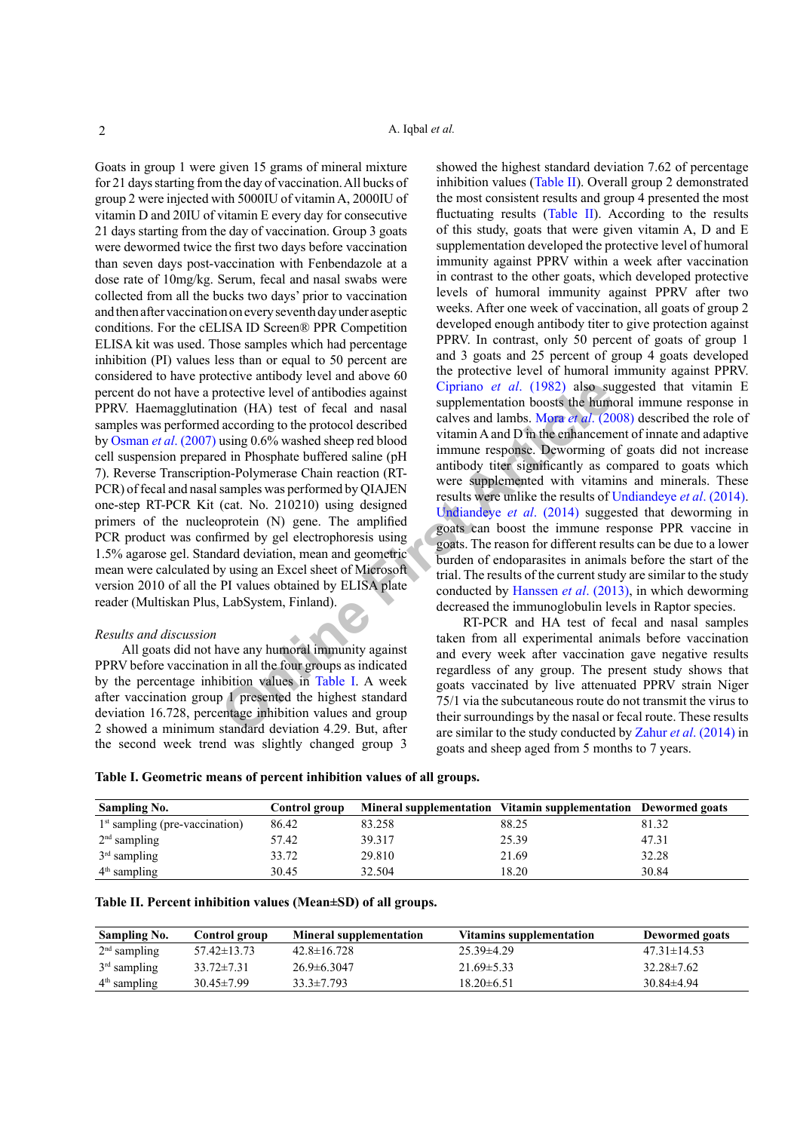**Characteristic A** continuous and ansal contribute beel of antibodies against<br>
strong (HA) test of fecal and nasal supplementation boosts the humin<br>
according to the protocol described<br>
unitary and and and D. The enhanceme Goats in group 1 were given 15 grams of mineral mixture for 21 days starting from the day of vaccination. All bucks of group 2 were injected with 5000IU of vitamin A, 2000IU of vitamin D and 20IU of vitamin E every day for consecutive 21 days starting from the day of vaccination. Group 3 goats were dewormed twice the first two days before vaccination than seven days post-vaccination with Fenbendazole at a dose rate of 10mg/kg. Serum, fecal and nasal swabs were collected from all the bucks two days' prior to vaccination and then after vaccination on every seventh day under aseptic conditions. For the cELISA ID Screen® PPR Competition ELISA kit was used. Those samples which had percentage inhibition (PI) values less than or equal to 50 percent are considered to have protective antibody level and above 60 percent do not have a protective level of antibodies against PPRV. Haemagglutination (HA) test of fecal and nasal samples was performed according to the protocol described by Osman *et al*[. \(2007\)](#page-2-5) using 0.6% washed sheep red blood cell suspension prepared in Phosphate buffered saline (pH 7). Reverse Transcription-Polymerase Chain reaction (RT-PCR) of fecal and nasal samples was performed by QIAJEN one-step RT-PCR Kit (cat. No. 210210) using designed primers of the nucleoprotein (N) gene. The amplified PCR product was confirmed by gel electrophoresis using 1.5% agarose gel. Standard deviation, mean and geometric mean were calculated by using an Excel sheet of Microsoft version 2010 of all the PI values obtained by ELISA plate reader (Multiskan Plus, LabSystem, Finland).

#### *Results and discussion*

All goats did not have any humoral immunity against PPRV before vaccination in all the four groups as indicated by the percentage inhibition values in Table I. A week after vaccination group 1 presented the highest standard deviation 16.728, percentage inhibition values and group 2 showed a minimum standard deviation 4.29. But, after the second week trend was slightly changed group 3

showed the highest standard deviation 7.62 of percentage inhibition values ([Table II\)](#page-1-1). Overall group 2 demonstrated the most consistent results and group 4 presented the most fluctuating results ([Table II\)](#page-1-1). According to the results of this study, goats that were given vitamin A, D and E supplementation developed the protective level of humoral immunity against PPRV within a week after vaccination in contrast to the other goats, which developed protective levels of humoral immunity against PPRV after two weeks. After one week of vaccination, all goats of group 2 developed enough antibody titer to give protection against PPRV. In contrast, only 50 percent of goats of group 1 and 3 goats and 25 percent of group 4 goats developed the protective level of humoral immunity against PPRV. Cipriano *et al*. (1982) also suggested that vitamin E supplementation boosts the humoral immune response in calves and lambs. Mora *et al*. (2008) described the role of vitamin A and D in the enhancement of innate and adaptive immune response. Deworming of goats did not increase antibody titer significantly as compared to goats which were supplemented with vitamins and minerals. These results were unlike the results of [Undiandeye](#page-2-8) *et al*. (2014). Undiandeye *et al*. (2014) suggested that deworming in goats can boost the immune response PPR vaccine in goats. The reason for different results can be due to a lower burden of endoparasites in animals before the start of the trial. The results of the current study are similar to the study conducted by Hanssen *et al*. (2013), in which deworming decreased the immunoglobulin levels in Raptor species.

RT-PCR and HA test of fecal and nasal samples taken from all experimental animals before vaccination and every week after vaccination gave negative results regardless of any group. The present study shows that goats vaccinated by live attenuated PPRV strain Niger 75/1 via the subcutaneous route do not transmit the virus to their surroundings by the nasal or fecal route. These results are similar to the study conducted by Zahur *et al*[. \(2014\)](#page-2-0) in goats and sheep aged from 5 months to 7 years.

<span id="page-1-0"></span>

| Table I. Geometric means of percent inhibition values of all groups. |  |  |
|----------------------------------------------------------------------|--|--|
|----------------------------------------------------------------------|--|--|

| <b>Sampling No.</b>              | Control group |        | Mineral supplementation Vitamin supplementation Dewormed goats |       |
|----------------------------------|---------------|--------|----------------------------------------------------------------|-------|
| $1st$ sampling (pre-vaccination) | 86.42         | 83.258 | 88.25                                                          | 81.32 |
| $2nd$ sampling                   | 57.42         | 39.317 | 25.39                                                          | 47.31 |
| $3rd$ sampling                   | 33.72         | 29.810 | 21.69                                                          | 32.28 |
| $4th$ sampling                   | 30.45         | 32.504 | 18.20                                                          | 30.84 |

<span id="page-1-1"></span>

| <b>Sampling No.</b> | Control group     | <b>Mineral supplementation</b> | <b>Vitamins supplementation</b> | <b>Dewormed</b> goats |
|---------------------|-------------------|--------------------------------|---------------------------------|-----------------------|
| $2nd$ sampling      | $57.42 \pm 13.73$ | $42.8 \pm 16.728$              | $25.39\pm4.29$                  | $47.31 \pm 14.53$     |
| $3rd$ sampling      | $33.72 \pm 7.31$  | $26.9 \pm 6.3047$              | $21.69 \pm 5.33$                | $32.28 \pm 7.62$      |
| $4th$ sampling      | $30.45 \pm 7.99$  | $33.3 \pm 7.793$               | $18.20\pm 6.51$                 | $30.84\pm4.94$        |